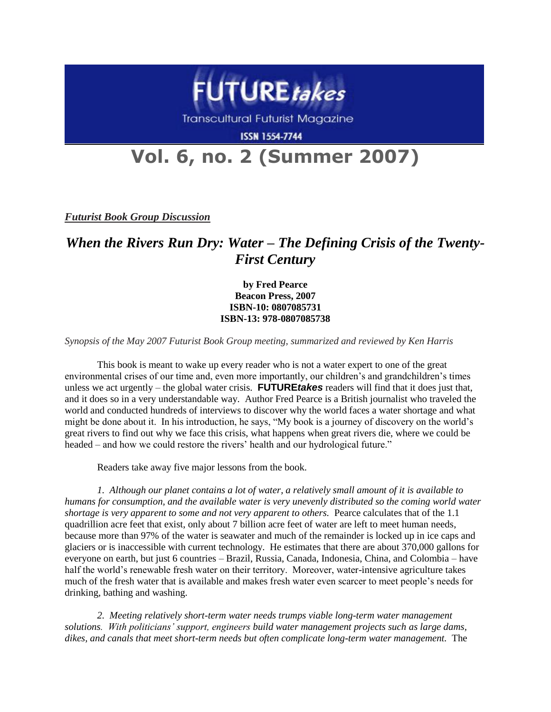

**Transcultural Futurist Magazine** 

**ISSN 1554-7744** 

## **Vol. 6, no. 2 (Summer 2007)**

*Futurist Book Group Discussion*

## *When the Rivers Run Dry: Water – The Defining Crisis of the Twenty-First Century*

**by Fred Pearce Beacon Press, 2007 ISBN-10: 0807085731 ISBN-13: 978-0807085738**

*Synopsis of the May 2007 Futurist Book Group meeting, summarized and reviewed by Ken Harris*

This book is meant to wake up every reader who is not a water expert to one of the great environmental crises of our time and, even more importantly, our children's and grandchildren's times unless we act urgently – the global water crisis. **FUTURE***takes* readers will find that it does just that, and it does so in a very understandable way. Author Fred Pearce is a British journalist who traveled the world and conducted hundreds of interviews to discover why the world faces a water shortage and what might be done about it. In his introduction, he says, "My book is a journey of discovery on the world's great rivers to find out why we face this crisis, what happens when great rivers die, where we could be headed – and how we could restore the rivers' health and our hydrological future."

Readers take away five major lessons from the book.

*1. Although our planet contains a lot of water, a relatively small amount of it is available to humans for consumption, and the available water is very unevenly distributed so the coming world water shortage is very apparent to some and not very apparent to others.* Pearce calculates that of the 1.1 quadrillion acre feet that exist, only about 7 billion acre feet of water are left to meet human needs, because more than 97% of the water is seawater and much of the remainder is locked up in ice caps and glaciers or is inaccessible with current technology. He estimates that there are about 370,000 gallons for everyone on earth, but just 6 countries – Brazil, Russia, Canada, Indonesia, China, and Colombia – have half the world's renewable fresh water on their territory. Moreover, water-intensive agriculture takes much of the fresh water that is available and makes fresh water even scarcer to meet people's needs for drinking, bathing and washing.

*2. Meeting relatively short-term water needs trumps viable long-term water management solutions. With politicians" support, engineers build water management projects such as large dams, dikes, and canals that meet short-term needs but often complicate long-term water management.* The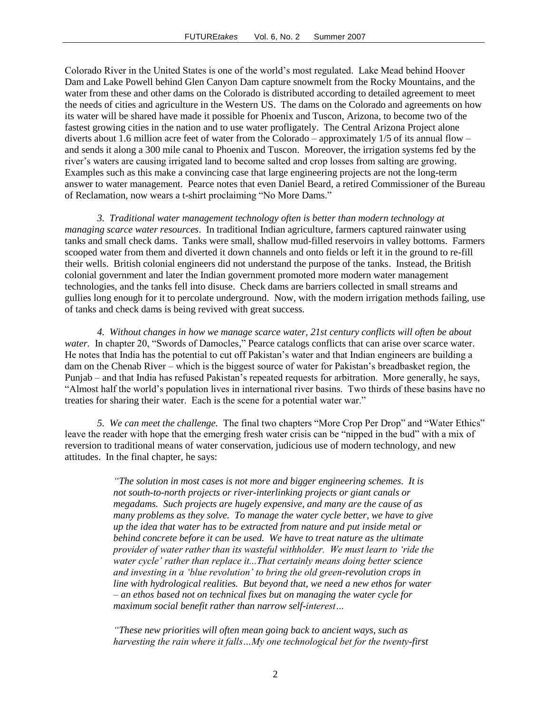Colorado River in the United States is one of the world's most regulated. Lake Mead behind Hoover Dam and Lake Powell behind Glen Canyon Dam capture snowmelt from the Rocky Mountains, and the water from these and other dams on the Colorado is distributed according to detailed agreement to meet the needs of cities and agriculture in the Western US. The dams on the Colorado and agreements on how its water will be shared have made it possible for Phoenix and Tuscon, Arizona, to become two of the fastest growing cities in the nation and to use water profligately. The Central Arizona Project alone diverts about 1.6 million acre feet of water from the Colorado – approximately 1/5 of its annual flow – and sends it along a 300 mile canal to Phoenix and Tuscon. Moreover, the irrigation systems fed by the river's waters are causing irrigated land to become salted and crop losses from salting are growing. Examples such as this make a convincing case that large engineering projects are not the long-term answer to water management. Pearce notes that even Daniel Beard, a retired Commissioner of the Bureau of Reclamation, now wears a t-shirt proclaiming "No More Dams."

*3. Traditional water management technology often is better than modern technology at managing scarce water resources*. In traditional Indian agriculture, farmers captured rainwater using tanks and small check dams. Tanks were small, shallow mud-filled reservoirs in valley bottoms. Farmers scooped water from them and diverted it down channels and onto fields or left it in the ground to re-fill their wells. British colonial engineers did not understand the purpose of the tanks. Instead, the British colonial government and later the Indian government promoted more modern water management technologies, and the tanks fell into disuse. Check dams are barriers collected in small streams and gullies long enough for it to percolate underground. Now, with the modern irrigation methods failing, use of tanks and check dams is being revived with great success.

*4. Without changes in how we manage scarce water, 21st century conflicts will often be about water.* In chapter 20, "Swords of Damocles," Pearce catalogs conflicts that can arise over scarce water. He notes that India has the potential to cut off Pakistan's water and that Indian engineers are building a dam on the Chenab River – which is the biggest source of water for Pakistan's breadbasket region, the Punjab – and that India has refused Pakistan's repeated requests for arbitration. More generally, he says, "Almost half the world's population lives in international river basins. Two thirds of these basins have no treaties for sharing their water. Each is the scene for a potential water war."

*5. We can meet the challenge.* The final two chapters "More Crop Per Drop" and "Water Ethics" leave the reader with hope that the emerging fresh water crisis can be "nipped in the bud" with a mix of reversion to traditional means of water conservation, judicious use of modern technology, and new attitudes. In the final chapter, he says:

> *"The solution in most cases is not more and bigger engineering schemes. It is not south-to-north projects or river-interlinking projects or giant canals or megadams. Such projects are hugely expensive, and many are the cause of as many problems as they solve. To manage the water cycle better, we have to give up the idea that water has to be extracted from nature and put inside metal or behind concrete before it can be used. We have to treat nature as the ultimate provider of water rather than its wasteful withholder. We must learn to "ride the water cycle" rather than replace it...That certainly means doing better science and investing in a "blue revolution" to bring the old green-revolution crops in line with hydrological realities. But beyond that, we need a new ethos for water – an ethos based not on technical fixes but on managing the water cycle for maximum social benefit rather than narrow self-interest…*

*"These new priorities will often mean going back to ancient ways, such as harvesting the rain where it falls…My one technological bet for the twenty-first*